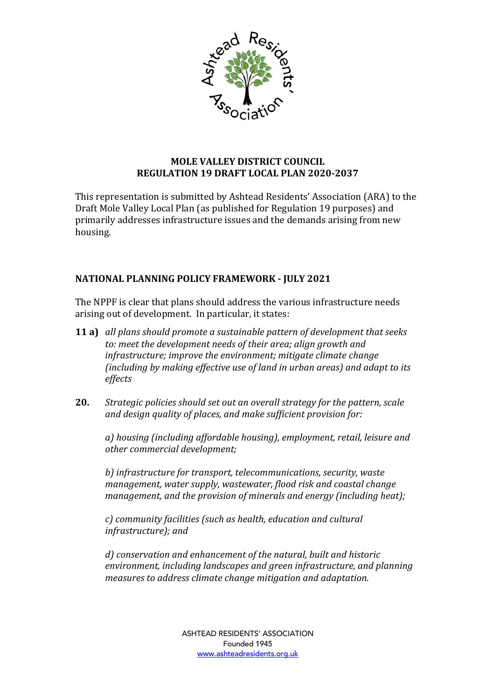

## **MOLE VALLEY DISTRICT COUNCIL REGULATION 19 DRAFT LOCAL PLAN 2020-2037**

This representation is submitted by Ashtead Residents' Association (ARA) to the Draft Mole Valley Local Plan (as published for Regulation 19 purposes) and primarily addresses infrastructure issues and the demands arising from new housing.

## **NATIONAL PLANNING POLICY FRAMEWORK - JULY 2021**

The NPPF is clear that plans should address the various infrastructure needs arising out of development. In particular, it states:

- **11 a)** all plans should promote a sustainable pattern of development that seeks to: meet the development needs of their area; align growth and infrastructure; improve the environment; mitigate climate change *(including by making effective use of land in urban areas)* and adapt to its *effects*
- **20.** *Strategic policies should set out an overall strategy for the pattern, scale* and design quality of places, and make sufficient provision for:

*a) housing (including affordable housing), employment, retail, leisure and other commercial development;*

b) infrastructure for transport, telecommunications, security, waste management, water supply, wastewater, flood risk and coastal change *management, and the provision of minerals and energy (including heat);* 

c) community facilities (such as health, education and cultural *infrastructure); and*

d) conservation and enhancement of the natural, built and historic environment, including landscapes and green infrastructure, and planning *measures to address climate change mitigation and adaptation.*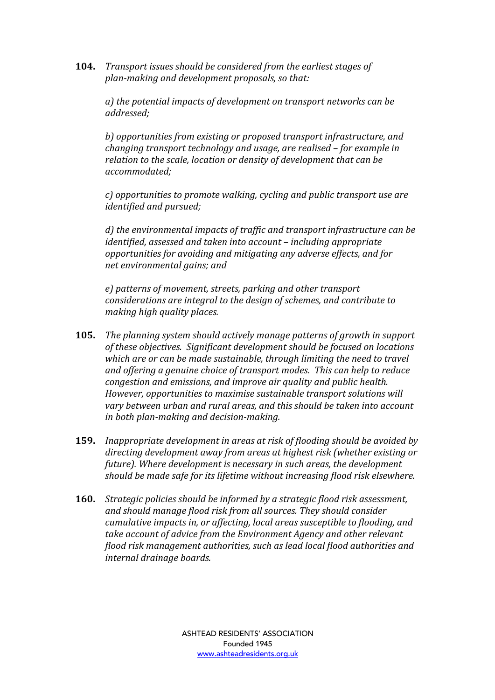**104.** *Transport issues should be considered from the earliest stages of* plan-making and development proposals, so that:

a) the potential impacts of development on transport networks can be *addressed;*

b) opportunities from existing or proposed transport infrastructure, and *changing transport technology and usage, are realised – for example in* relation to the scale, location or density of development that can be *accommodated;*

*c*) opportunities to promote walking, cycling and public transport use are *identified and pursued;*

*d)* the environmental impacts of traffic and transport infrastructure can be *identified, assessed and taken into account* – *including appropriate* opportunities for avoiding and mitigating any adverse effects, and for *net environmental gains; and*

 $e)$  patterns of movement, streets, parking and other transport *considerations are integral to the design of schemes, and contribute to making high quality places.*

- **105.** *The planning system should actively manage patterns of growth in support* of these objectives. Significant development should be focused on locations which are or can be made sustainable, through limiting the need to travel and offering a genuine choice of *transport modes.* This can help to reduce *congestion and emissions, and improve air quality and public health. However, opportunities to maximise sustainable transport solutions will* vary between urban and rural areas, and this should be taken into account *in both plan-making and decision-making.*
- **159.** *Inappropriate development in areas at risk of flooding should be avoided by* directing development away from areas at highest risk (whether existing or *future*). Where development is necessary in such areas, the development *should be made safe for its lifetime without increasing flood risk elsewhere.*
- **160.** *Strategic policies should be informed by a strategic flood risk assessment,* and should manage flood risk from all sources. They should consider *cumulative impacts in, or affecting, local areas susceptible to flooding, and* take account of advice from the Environment Agency and other relevant flood risk management authorities, such as lead local flood authorities and *internal drainage boards.*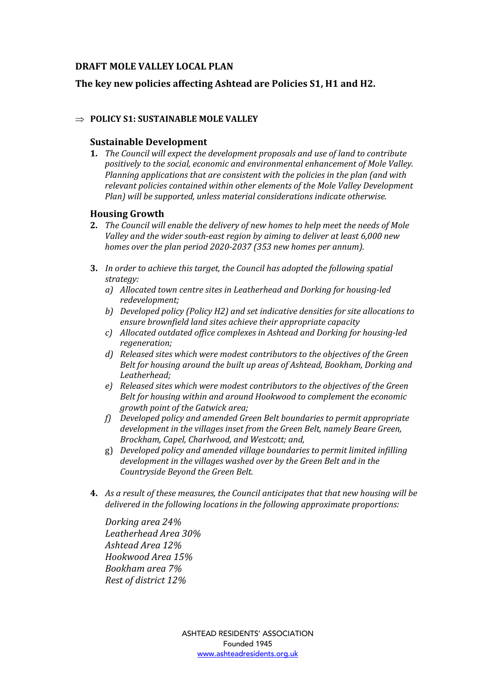## **DRAFT MOLE VALLEY LOCAL PLAN**

### The key new policies affecting Ashtead are Policies S1, H1 and H2.

#### $\Rightarrow$  POLICY S1: SUSTAINABLE MOLE VALLEY

#### **Sustainable Development**

**1.** The Council will expect the development proposals and use of land to contribute positively to the social, economic and environmental enhancement of Mole Valley. *Planning applications that are consistent with the policies in the plan (and with* relevant policies contained within other elements of the Mole Valley Development *Plan)* will be supported, unless material considerations indicate otherwise.

#### **Housing Growth**

- **2.** *The Council will enable the delivery of new homes to help meet the needs of Mole* Valley and the wider south-east region by aiming to deliver at least 6,000 new *homes over the plan period 2020-2037 (353 new homes per annum).*
- **3.** In order to achieve this target, the Council has adopted the following spatial *strategy:* 
	- *a*) Allocated town centre sites in Leatherhead and Dorking for housing-led *redevelopment;*
	- *b*) *Developed policy* (Policy H2) and set indicative densities for site allocations to ensure brownfield land sites achieve their appropriate capacity
	- *c) Allocated outdated office complexes in Ashtead and Dorking for housing-led regeneration;*
	- *d)* Released sites which were modest contributors to the objectives of the Green *Belt for housing around the built up areas of Ashtead, Bookham, Dorking and* Leatherhead:
	- *e*) Released sites which were modest contributors to the objectives of the Green Belt for housing within and around Hookwood to complement the economic *growth point of the Gatwick area;*
	- *f*) Developed policy and amended Green Belt boundaries to permit appropriate development in the villages inset from the Green Belt, namely Beare Green, Brockham, Capel, Charlwood, and Westcott; and,
	- g) *Developed policy and amended village boundaries to permit limited infilling* development in the villages washed over by the Green Belt and in the *Countryside Beyond the Green Belt.*
- **4.** As a result of these measures, the Council anticipates that that new housing will be *delivered in the following locations in the following approximate proportions:*

*Dorking area 24% Leatherhead Area 30% Ashtead Area 12% Hookwood Area 15% Bookham area 7% Rest of district 12%*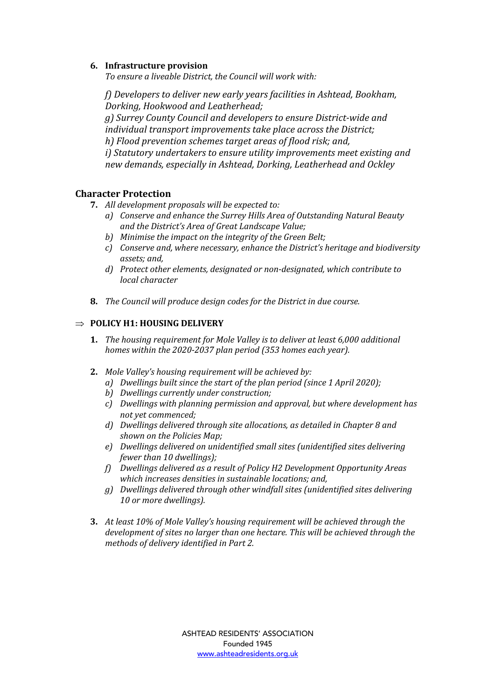#### **6.** Infrastructure provision

To ensure a liveable District, the Council will work with:

*f*) Developers to deliver new early years facilities in Ashtead, Bookham, *Dorking, Hookwood and Leatherhead: g*) Surrey County Council and developers to ensure District-wide and individual transport improvements take place across the District; *h*) Flood prevention schemes target areas of flood risk; and, *i*) Statutory undertakers to ensure utility improvements meet existing and new demands, especially in Ashtead, Dorking, Leatherhead and Ockley

#### **Character Protection**

- **7.** All development proposals will be expected to:
	- *a*) *Conserve and enhance the Surrey Hills Area of Outstanding Natural Beauty* and the District's Area of Great Landscape Value;
	- b) Minimise the impact on the integrity of the Green Belt;
	- *c*) Conserve and, where necessary, enhance the District's heritage and biodiversity *assets; and,*
	- *d)* Protect other elements, designated or non-designated, which contribute to *local character*
- **8.** *The Council will produce design codes for the District in due course.*

### $\Rightarrow$  POLICY H1: HOUSING DELIVERY

- **1.** *The housing requirement for Mole Valley is to deliver at least 6,000 additional homes* within the 2020-2037 plan period (353 homes each year).
- **2.** Mole Valley's housing requirement will be achieved by:
	- *a*) *Dwellings built since the start of the plan period (since 1 April 2020);*
	- *b*) *Dwellings currently under construction;*
	- *c*) Dwellings with planning permission and approval, but where development has *not yet commenced;*
	- *d)* Dwellings delivered through site allocations, as detailed in Chapter 8 and shown on the Policies Map;
	- *e*) Dwellings delivered on unidentified small sites (unidentified sites delivering *fewer than 10 dwellings);*
	- *f*) *Dwellings delivered as a result of Policy H2 Development Opportunity Areas* which increases densities in sustainable *locations;* and,
	- *g*) Dwellings delivered through other windfall sites (unidentified sites delivering 10 or more dwellings).
- **3.** At least 10% of Mole Valley's housing requirement will be achieved through the development of sites no larger than one hectare. This will be achieved through the *methods of delivery identified in Part 2.*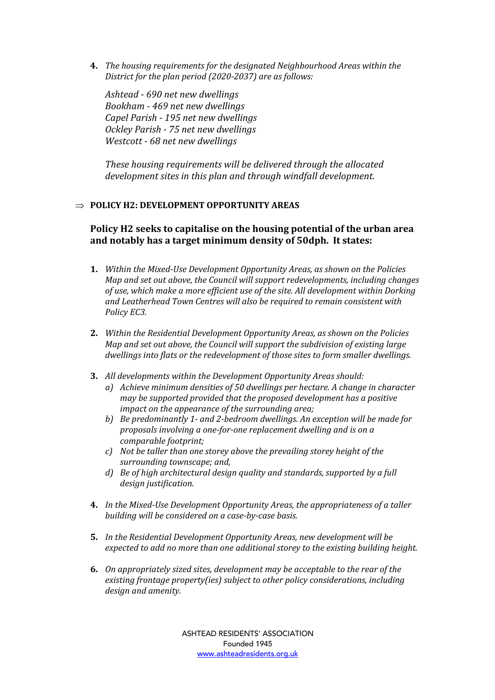**4.** The housing requirements for the designated Neighbourhood Areas within the *District for the plan period (2020-2037)* are as follows:

Ashtead - 690 net new dwellings *Bookham* - 469 net new dwellings *Capel Parish - 195 net new dwellings Ockley Parish - 75 net new dwellings Westcott* - 68 net new dwellings

These housing requirements will be delivered through the allocated development sites in this plan and through windfall development.

#### $\Rightarrow$  POLICY H2: DEVELOPMENT OPPORTUNITY AREAS

## **Policy H2** seeks to capitalise on the housing potential of the urban area and notably has a target minimum density of 50dph. It states:

- **1.** *Within the Mixed-Use Development Opportunity Areas, as shown on the Policies Map* and set out above, the Council will support redevelopments, including changes of use, which make a more efficient use of the site. All development within Dorking and Leatherhead Town Centres will also be required to remain consistent with *Policy EC3.*
- **2.** *Within the Residential Development Opportunity Areas, as shown on the Policies Map and set out above, the Council will support the subdivision of existing large dwellings into flats or the redevelopment of those sites to form smaller dwellings.*
- **3.** All developments within the Development Opportunity Areas should:
	- *a*) *Achieve minimum densities of 50 dwellings per hectare. A change in character may be supported provided that the proposed development has a positive impact on the appearance of the surrounding area:*
	- b) Be predominantly 1- and 2-bedroom dwellings. An exception will be made for proposals involving a one-for-one replacement dwelling and is on a comparable footprint;
	- *c*) Not be taller than one storey above the prevailing storey height of the surrounding townscape; and,
	- *d*) Be of high architectural design quality and standards, supported by a full *design justification.*
- **4.** In the Mixed-Use Development Opportunity Areas, the appropriateness of a taller *building will be considered on a case-by-case basis.*
- **5.** In the Residential Development Opportunity Areas, new development will be *expected to add no more than one additional storey to the existing building height.*
- **6.** On appropriately sized sites, development may be acceptable to the rear of the existing frontage property(ies) subject to other policy considerations, including design and amenity.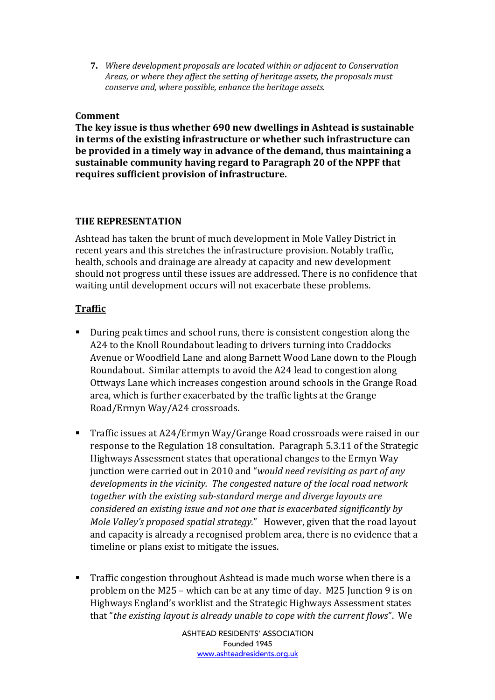**7.** *Where development proposals are located within or adiacent to Conservation Areas, or where they affect the setting of heritage assets, the proposals must conserve and, where possible, enhance the heritage assets.* 

### **Comment**

The key issue is thus whether 690 new dwellings in Ashtead is sustainable in terms of the existing infrastructure or whether such infrastructure can **be provided in a timely way in advance of the demand, thus maintaining a** sustainable community having regard to Paragraph 20 of the NPPF that requires sufficient provision of infrastructure.

## **THE REPRESENTATION**

Ashtead has taken the brunt of much development in Mole Valley District in recent years and this stretches the infrastructure provision. Notably traffic, health, schools and drainage are already at capacity and new development should not progress until these issues are addressed. There is no confidence that waiting until development occurs will not exacerbate these problems.

# **Traffic**

- During peak times and school runs, there is consistent congestion along the A24 to the Knoll Roundabout leading to drivers turning into Craddocks Avenue or Woodfield Lane and along Barnett Wood Lane down to the Plough Roundabout. Similar attempts to avoid the A24 lead to congestion along Ottways Lane which increases congestion around schools in the Grange Road area, which is further exacerbated by the traffic lights at the Grange Road/Ermyn Way/A24 crossroads.
- Traffic issues at A24/Ermyn Way/Grange Road crossroads were raised in our response to the Regulation 18 consultation. Paragraph 5.3.11 of the Strategic Highways Assessment states that operational changes to the Ermyn Way junction were carried out in 2010 and "*would need revisiting as part of any developments in the vicinity. The congested nature of the local road network* together with the existing sub-standard merge and diverge layouts are *considered an existing issue and not one that is exacerbated significantly by Mole Valley's proposed spatial strategy.*" However, given that the road layout and capacity is already a recognised problem area, there is no evidence that a timeline or plans exist to mitigate the issues.
- **Traffic congestion throughout Ashtead is made much worse when there is a** problem on the M25 – which can be at any time of day. M25 Junction 9 is on Highways England's worklist and the Strategic Highways Assessment states that "*the existing layout is already unable to cope with the current flows*". We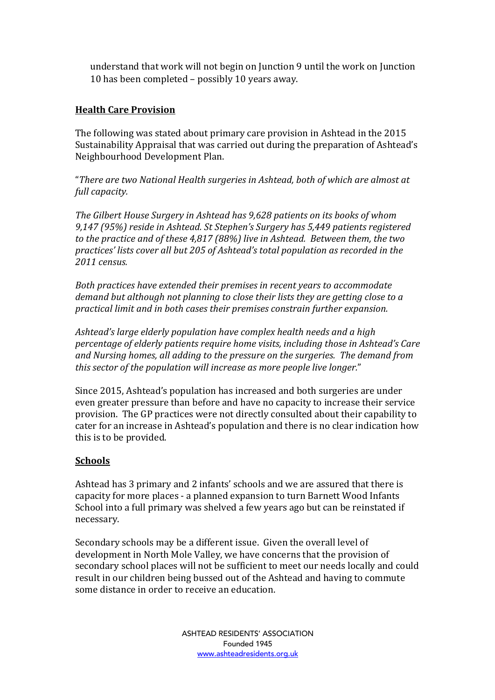understand that work will not begin on Junction 9 until the work on Junction 10 has been completed - possibly 10 years away.

## **Health Care Provision**

The following was stated about primary care provision in Ashtead in the 2015 Sustainability Appraisal that was carried out during the preparation of Ashtead's Neighbourhood Development Plan.

"There are two National Health surgeries in Ashtead, both of which are almost at full capacity.

The Gilbert House Surgery in Ashtead has 9,628 patients on its books of whom 9,147 (95%) reside in Ashtead. St Stephen's Surgery has 5,449 patients registered to the practice and of these 4,817 (88%) live in Ashtead. Between them, the two practices' lists cover all but 205 of Ashtead's total population as recorded in the *2011 census.*

Both practices have extended their premises in recent years to accommodate demand but although not planning to close their lists they are getting close to a *practical limit and in both cases their premises constrain further expansion.* 

*Ashtead's large elderly population have complex health needs and a high percentage of elderly patients require home visits, including those in Ashtead's Care* and Nursing homes, all adding to the pressure on the surgeries. The demand from this sector of the population will increase as more people live longer."

Since 2015, Ashtead's population has increased and both surgeries are under even greater pressure than before and have no capacity to increase their service provision. The GP practices were not directly consulted about their capability to cater for an increase in Ashtead's population and there is no clear indication how this is to be provided.

## **Schools**

Ashtead has 3 primary and 2 infants' schools and we are assured that there is capacity for more places - a planned expansion to turn Barnett Wood Infants School into a full primary was shelved a few years ago but can be reinstated if necessary.

Secondary schools may be a different issue. Given the overall level of development in North Mole Valley, we have concerns that the provision of secondary school places will not be sufficient to meet our needs locally and could result in our children being bussed out of the Ashtead and having to commute some distance in order to receive an education.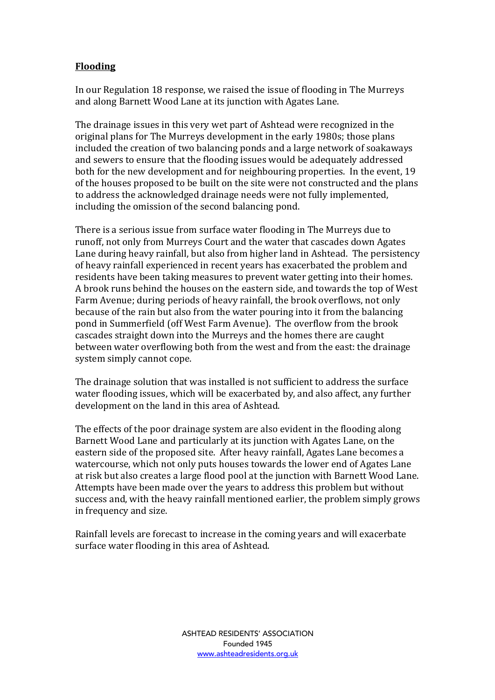## **Flooding**

In our Regulation 18 response, we raised the issue of flooding in The Murreys and along Barnett Wood Lane at its junction with Agates Lane.

The drainage issues in this very wet part of Ashtead were recognized in the original plans for The Murreys development in the early 1980s; those plans included the creation of two balancing ponds and a large network of soakaways and sewers to ensure that the flooding issues would be adequately addressed both for the new development and for neighbouring properties. In the event, 19 of the houses proposed to be built on the site were not constructed and the plans to address the acknowledged drainage needs were not fully implemented, including the omission of the second balancing pond.

There is a serious issue from surface water flooding in The Murreys due to runoff, not only from Murreys Court and the water that cascades down Agates Lane during heavy rainfall, but also from higher land in Ashtead. The persistency of heavy rainfall experienced in recent years has exacerbated the problem and residents have been taking measures to prevent water getting into their homes. A brook runs behind the houses on the eastern side, and towards the top of West Farm Avenue; during periods of heavy rainfall, the brook overflows, not only because of the rain but also from the water pouring into it from the balancing pond in Summerfield (off West Farm Avenue). The overflow from the brook cascades straight down into the Murreys and the homes there are caught between water overflowing both from the west and from the east: the drainage system simply cannot cope.

The drainage solution that was installed is not sufficient to address the surface water flooding issues, which will be exacerbated by, and also affect, any further development on the land in this area of Ashtead.

The effects of the poor drainage system are also evident in the flooding along Barnett Wood Lane and particularly at its junction with Agates Lane, on the eastern side of the proposed site. After heavy rainfall, Agates Lane becomes a watercourse, which not only puts houses towards the lower end of Agates Lane at risk but also creates a large flood pool at the junction with Barnett Wood Lane. Attempts have been made over the years to address this problem but without success and, with the heavy rainfall mentioned earlier, the problem simply grows in frequency and size.

Rainfall levels are forecast to increase in the coming years and will exacerbate surface water flooding in this area of Ashtead.